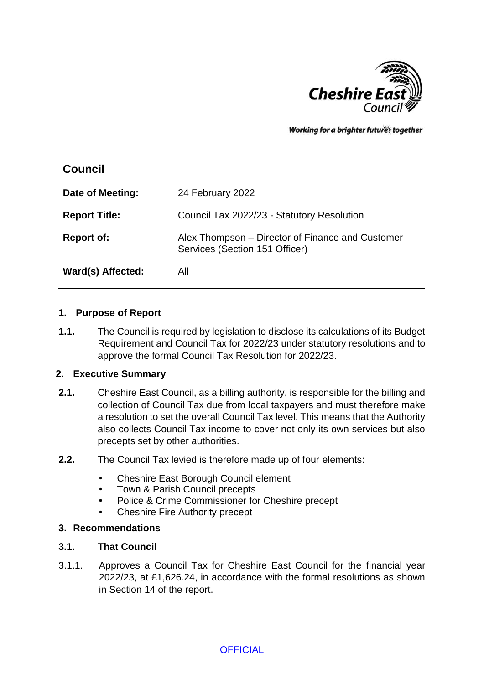

Working for a brighter futures together

| <b>Council</b>       |                                                                                    |
|----------------------|------------------------------------------------------------------------------------|
| Date of Meeting:     | 24 February 2022                                                                   |
| <b>Report Title:</b> | Council Tax 2022/23 - Statutory Resolution                                         |
| <b>Report of:</b>    | Alex Thompson – Director of Finance and Customer<br>Services (Section 151 Officer) |
| Ward(s) Affected:    | All                                                                                |

#### **1. Purpose of Report**

**1.1.** The Council is required by legislation to disclose its calculations of its Budget Requirement and Council Tax for 2022/23 under statutory resolutions and to approve the formal Council Tax Resolution for 2022/23.

#### **2. Executive Summary**

- **2.1.** Cheshire East Council, as a billing authority, is responsible for the billing and collection of Council Tax due from local taxpayers and must therefore make a resolution to set the overall Council Tax level. This means that the Authority also collects Council Tax income to cover not only its own services but also precepts set by other authorities.
- **2.2.** The Council Tax levied is therefore made up of four elements:
	- Cheshire East Borough Council element
	- Town & Parish Council precepts
	- **•** Police & Crime Commissioner for Cheshire precept
	- Cheshire Fire Authority precept

### **3. Recommendations**

### **3.1. That Council**

3.1.1. Approves a Council Tax for Cheshire East Council for the financial year 2022/23, at £1,626.24, in accordance with the formal resolutions as shown in Section 14 of the report.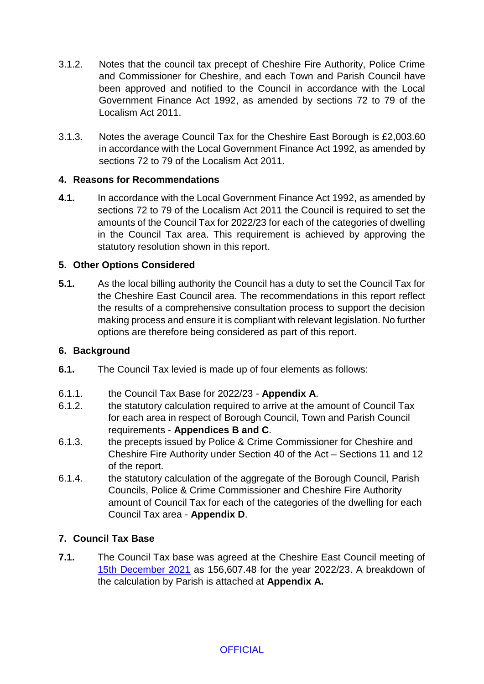- 3.1.2. Notes that the council tax precept of Cheshire Fire Authority, Police Crime and Commissioner for Cheshire, and each Town and Parish Council have been approved and notified to the Council in accordance with the Local Government Finance Act 1992, as amended by sections 72 to 79 of the Localism Act 2011.
- 3.1.3. Notes the average Council Tax for the Cheshire East Borough is £2,003.60 in accordance with the Local Government Finance Act 1992, as amended by sections 72 to 79 of the Localism Act 2011.

# **4. Reasons for Recommendations**

**4.1.** In accordance with the Local Government Finance Act 1992, as amended by sections 72 to 79 of the Localism Act 2011 the Council is required to set the amounts of the Council Tax for 2022/23 for each of the categories of dwelling in the Council Tax area. This requirement is achieved by approving the statutory resolution shown in this report.

# **5. Other Options Considered**

**5.1.** As the local billing authority the Council has a duty to set the Council Tax for the Cheshire East Council area. The recommendations in this report reflect the results of a comprehensive consultation process to support the decision making process and ensure it is compliant with relevant legislation. No further options are therefore being considered as part of this report.

# **6. Background**

- **6.1.** The Council Tax levied is made up of four elements as follows:
- 6.1.1. the Council Tax Base for 2022/23 **Appendix A**.
- 6.1.2. the statutory calculation required to arrive at the amount of Council Tax for each area in respect of Borough Council, Town and Parish Council requirements - **Appendices B and C**.
- 6.1.3. the precepts issued by Police & Crime Commissioner for Cheshire and Cheshire Fire Authority under Section 40 of the Act – Sections 11 and 12 of the report.
- 6.1.4. the statutory calculation of the aggregate of the Borough Council, Parish Councils, Police & Crime Commissioner and Cheshire Fire Authority amount of Council Tax for each of the categories of the dwelling for each Council Tax area - **Appendix D**.

# **7. Council Tax Base**

**7.1.** The Council Tax base was agreed at the Cheshire East Council meeting of [15th December 2021](http://moderngov.cheshireeast.gov.uk/ecminutes/ieListDocuments.aspx?CId=239&MId=8655) as 156,607.48 for the year 2022/23. A breakdown of the calculation by Parish is attached at **Appendix A.**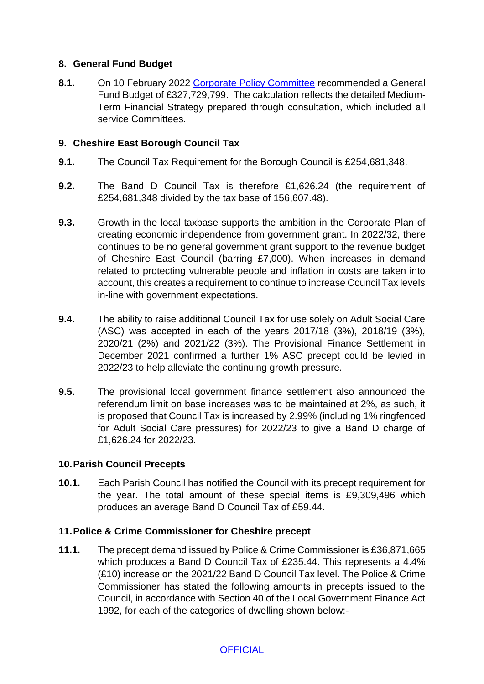# **8. General Fund Budget**

8.1. On 10 February 2022 [Corporate Policy Committee](http://moderngov.cheshireeast.gov.uk/ecminutes/ieListDocuments.aspx?CId=959&MId=8664&Ver=4) recommended a General Fund Budget of £327,729,799. The calculation reflects the detailed Medium-Term Financial Strategy prepared through consultation, which included all service Committees.

# **9. Cheshire East Borough Council Tax**

- **9.1.** The Council Tax Requirement for the Borough Council is £254,681,348.
- **9.2.** The Band D Council Tax is therefore £1,626.24 (the requirement of £254,681,348 divided by the tax base of 156,607.48).
- **9.3.** Growth in the local taxbase supports the ambition in the Corporate Plan of creating economic independence from government grant. In 2022/32, there continues to be no general government grant support to the revenue budget of Cheshire East Council (barring £7,000). When increases in demand related to protecting vulnerable people and inflation in costs are taken into account, this creates a requirement to continue to increase Council Tax levels in-line with government expectations.
- **9.4.** The ability to raise additional Council Tax for use solely on Adult Social Care (ASC) was accepted in each of the years 2017/18 (3%), 2018/19 (3%), 2020/21 (2%) and 2021/22 (3%). The Provisional Finance Settlement in December 2021 confirmed a further 1% ASC precept could be levied in 2022/23 to help alleviate the continuing growth pressure.
- **9.5.** The provisional local government finance settlement also announced the referendum limit on base increases was to be maintained at 2%, as such, it is proposed that Council Tax is increased by 2.99% (including 1% ringfenced for Adult Social Care pressures) for 2022/23 to give a Band D charge of £1,626.24 for 2022/23.

### **10.Parish Council Precepts**

**10.1.** Each Parish Council has notified the Council with its precept requirement for the year. The total amount of these special items is £9,309,496 which produces an average Band D Council Tax of £59.44.

### **11.Police & Crime Commissioner for Cheshire precept**

**11.1.** The precept demand issued by Police & Crime Commissioner is £36,871,665 which produces a Band D Council Tax of £235.44. This represents a 4.4% (£10) increase on the 2021/22 Band D Council Tax level. The Police & Crime Commissioner has stated the following amounts in precepts issued to the Council, in accordance with Section 40 of the Local Government Finance Act 1992, for each of the categories of dwelling shown below:-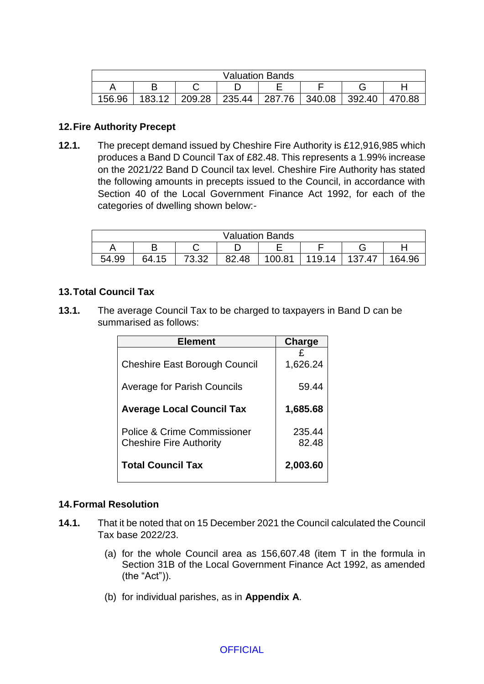| <b>Valuation Bands</b> |        |        |        |        |        |        |        |
|------------------------|--------|--------|--------|--------|--------|--------|--------|
|                        |        |        |        |        |        |        |        |
| 156.96                 | 183.12 | 209.28 | 235.44 | 287.76 | 340.08 | 392.40 | 470.88 |

### **12.Fire Authority Precept**

**12.1.** The precept demand issued by Cheshire Fire Authority is £12,916,985 which produces a Band D Council Tax of £82.48. This represents a 1.99% increase on the 2021/22 Band D Council tax level. Cheshire Fire Authority has stated the following amounts in precepts issued to the Council, in accordance with Section 40 of the Local Government Finance Act 1992, for each of the categories of dwelling shown below:-

| <b>Valuation Bands</b> |       |                      |       |        |        |     |        |
|------------------------|-------|----------------------|-------|--------|--------|-----|--------|
|                        |       |                      |       | -      |        |     |        |
| 54.99                  | 64.15 | <b>רכ כד</b><br>ےں.ں | 32.48 | 100.81 | 119.14 | .47 | 164.96 |

# **13.Total Council Tax**

**13.1.** The average Council Tax to be charged to taxpayers in Band D can be summarised as follows:

| <b>Element</b>                       | <b>Charge</b> |
|--------------------------------------|---------------|
|                                      |               |
| <b>Cheshire East Borough Council</b> | 1,626.24      |
| <b>Average for Parish Councils</b>   | 59.44         |
| <b>Average Local Council Tax</b>     | 1,685.68      |
| Police & Crime Commissioner          | 235.44        |
| <b>Cheshire Fire Authority</b>       | 82.48         |
| <b>Total Council Tax</b>             | 2,003.60      |

### **14.Formal Resolution**

- **14.1.** That it be noted that on 15 December 2021 the Council calculated the Council Tax base 2022/23.
	- (a) for the whole Council area as 156,607.48 (item T in the formula in Section 31B of the Local Government Finance Act 1992, as amended (the "Act")).
	- (b) for individual parishes, as in **Appendix A**.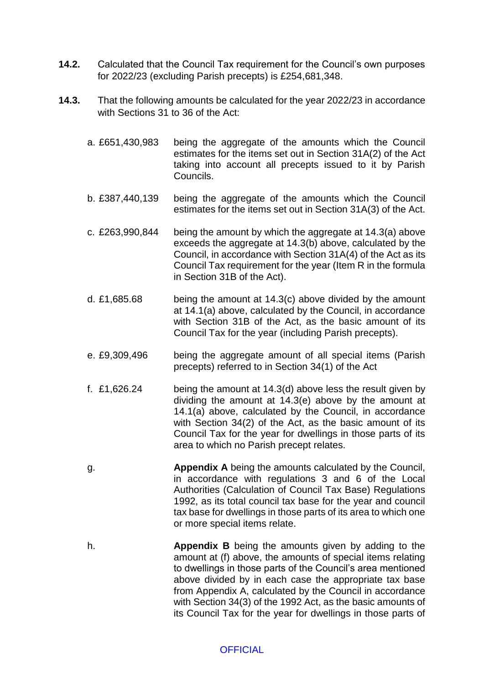- **14.2.** Calculated that the Council Tax requirement for the Council's own purposes for 2022/23 (excluding Parish precepts) is £254,681,348.
- **14.3.** That the following amounts be calculated for the year 2022/23 in accordance with Sections 31 to 36 of the Act:
	- a. £651,430,983 being the aggregate of the amounts which the Council estimates for the items set out in Section 31A(2) of the Act taking into account all precepts issued to it by Parish Councils.
	- b. £387,440,139 being the aggregate of the amounts which the Council estimates for the items set out in Section 31A(3) of the Act.
	- c. £263,990,844 being the amount by which the aggregate at 14.3(a) above exceeds the aggregate at 14.3(b) above, calculated by the Council, in accordance with Section 31A(4) of the Act as its Council Tax requirement for the year (Item R in the formula in Section 31B of the Act).
	- d. £1,685.68 being the amount at 14.3(c) above divided by the amount at 14.1(a) above, calculated by the Council, in accordance with Section 31B of the Act, as the basic amount of its Council Tax for the year (including Parish precepts).
	- e. £9,309,496 being the aggregate amount of all special items (Parish precepts) referred to in Section 34(1) of the Act
	- f. £1,626.24 being the amount at 14.3(d) above less the result given by dividing the amount at 14.3(e) above by the amount at 14.1(a) above, calculated by the Council, in accordance with Section 34(2) of the Act, as the basic amount of its Council Tax for the year for dwellings in those parts of its area to which no Parish precept relates.
	- g. **Appendix A** being the amounts calculated by the Council, in accordance with regulations 3 and 6 of the Local Authorities (Calculation of Council Tax Base) Regulations 1992, as its total council tax base for the year and council tax base for dwellings in those parts of its area to which one or more special items relate.
	- h. **Appendix B** being the amounts given by adding to the amount at (f) above, the amounts of special items relating to dwellings in those parts of the Council's area mentioned above divided by in each case the appropriate tax base from Appendix A, calculated by the Council in accordance with Section 34(3) of the 1992 Act, as the basic amounts of its Council Tax for the year for dwellings in those parts of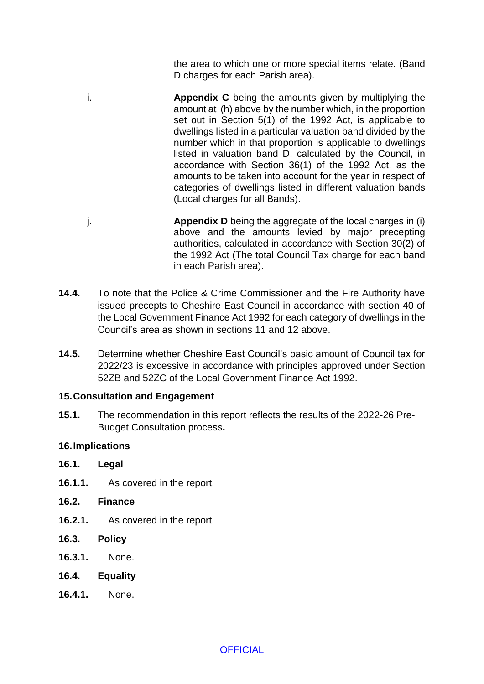the area to which one or more special items relate. (Band D charges for each Parish area).

- i. **Appendix C** being the amounts given by multiplying the amount at (h) above by the number which, in the proportion set out in Section 5(1) of the 1992 Act, is applicable to dwellings listed in a particular valuation band divided by the number which in that proportion is applicable to dwellings listed in valuation band D, calculated by the Council, in accordance with Section 36(1) of the 1992 Act, as the amounts to be taken into account for the year in respect of categories of dwellings listed in different valuation bands (Local charges for all Bands).
- j. **Appendix D** being the aggregate of the local charges in (i) above and the amounts levied by major precepting authorities, calculated in accordance with Section 30(2) of the 1992 Act (The total Council Tax charge for each band in each Parish area).
- **14.4.** To note that the Police & Crime Commissioner and the Fire Authority have issued precepts to Cheshire East Council in accordance with section 40 of the Local Government Finance Act 1992 for each category of dwellings in the Council's area as shown in sections 11 and 12 above.
- **14.5.** Determine whether Cheshire East Council's basic amount of Council tax for 2022/23 is excessive in accordance with principles approved under Section 52ZB and 52ZC of the Local Government Finance Act 1992.

### **15.Consultation and Engagement**

**15.1.** The recommendation in this report reflects the results of the 2022-26 Pre-Budget Consultation process**.**

### **16.Implications**

- **16.1. Legal**
- **16.1.1.** As covered in the report.
- **16.2. Finance**
- **16.2.1.** As covered in the report.
- **16.3. Policy**
- **16.3.1.** None.
- **16.4. Equality**
- **16.4.1.** None.